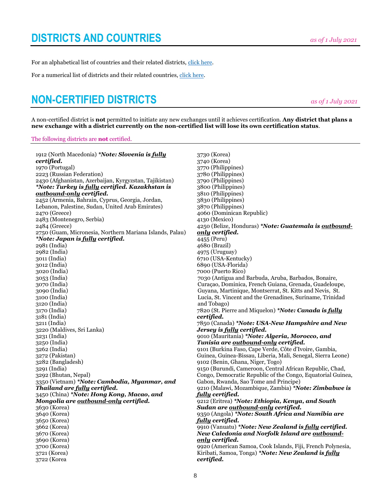For an alphabetical list of countries and their related districts, [click here.](https://msgfocus.rotary.org/files/amf_highroad_solution/project_190/Youth_Exchange/Directory/ALPHA_District_Countries_Jul21.pdf)

For a numerical list of districts and their related countries[, click here.](https://msgfocus.rotary.org/files/amf_highroad_solution/project_190/Youth_Exchange/Directory/NUMBER_District_Countries_Jul21.pdf)

## **NON-CERTIFIED DISTRICTS** *as of 1 July <sup>2021</sup>*

A non-certified district is **not** permitted to initiate any new exchanges until it achieves certification. **Any district that plans a new exchange with a district currently on the non-certified list will lose its own certification status**.

## The following districts are **not** certified.

1912 (North Macedonia) *\*Note: Slovenia is fully certified.* 1970 (Portugal) 2223 (Russian Federation) 2430 (Afghanistan, Azerbaijan, Kyrgyzstan, Tajikistan) *\*Note: Turkey is fully certified. Kazakhstan is outbound-only certified.* 2452 (Armenia, Bahrain, Cyprus, Georgia, Jordan, Lebanon, Palestine, Sudan, United Arab Emirates) 2470 (Greece) 2483 (Montenegro, Serbia) 2484 (Greece) 2750 (Guam, Micronesia, Northern Mariana Islands, Palau) *\*Note: Japan is fully certified.* 2981 (India) 2982 (India) 3011 (India) 3012 (India) 3020 (India) 3053 (India) 3070 (India) 3090 (India) 3100 (India) 3120 (India) 3170 (India) 3181 (India) 3211 (India) 3220 (Maldives, Sri Lanka) 3231 (India) 3250 (India) 3262 (India) 3272 (Pakistan) 3282 (Bangladesh) 3291 (India) 3292 (Bhutan, Nepal) 3350 (Vietnam) *\*Note: Cambodia, Myanmar, and Thailand are fully certified.* 3450 (China) *\*Note: Hong Kong, Macao, and Mongolia are outbound-only certified.* 3630 (Korea) 3640 (Korea) 3650 (Korea) 3662 (Korea) 3670 (Korea) 3690 (Korea) 3700 (Korea) 3721 (Korea) 3722 (Korea 3730 (Korea) 3740 (Korea) 3770 (Philippines) 3780 (Philippines) 3790 (Philippines) 3800 (Philippines) 3810 (Philippines) 3830 (Philippines) 3870 (Philippines) 4060 (Dominican Republic) 4130 (Mexico) 4250 (Belize, Honduras) *\*Note: Guatemala is outboundonly certified.* 4455 (Peru) 4680 (Brazil) 4975 (Uruguay) 6710 (USA-Kentucky) 6890 (USA-Florida) 7000 (Puerto Rico) 7030 (Antigua and Barbuda, Aruba, Barbados, Bonaire, Curaçao, Dominica, French Guiana, Grenada, Guadeloupe, Guyana, Martinique, Montserrat, St. Kitts and Nevis, St. Lucia, St. Vincent and the Grenadines, Suriname, Trinidad and Tobago) 7820 (St. Pierre and Miquelon) *\*Note: Canada is fully certified.* 7850 (Canada) *\*Note: USA-New Hampshire and New Jersey is fully certified.* 9010 (Mauritania) *\*Note: Algeria, Morocco, and Tunisia are outbound-only certified.* 9101 (Burkina Faso, Cape Verde, Côte d'Ivoire, Gambia, Guinea, Guinea-Bissau, Liberia, Mali, Senegal, Sierra Leone) 9102 (Benin, Ghana, Niger, Togo) 9150 (Burundi, Cameroon, Central African Republic, Chad, Congo, Democratic Republic of the Congo, Equatorial Guinea, Gabon, Rwanda, Sao Tome and Principe) 9210 (Malawi, Mozambique, Zambia) *\*Note: Zimbabwe is fully certified.* 9212 (Eritrea) *\*Note: Ethiopia, Kenya, and South Sudan are outbound-only certified.* 9350 (Angola) *\*Note: South Africa and Namibia are fully certified.* 9910 (Vanuatu) *\*Note: New Zealand is fully certified. New Caledonia and Norfolk Island are outboundonly certified.*  9920 (American Samoa, Cook Islands, Fiji, French Polynesia, Kiribati, Samoa, Tonga) *\*Note: New Zealand is fully certified.*